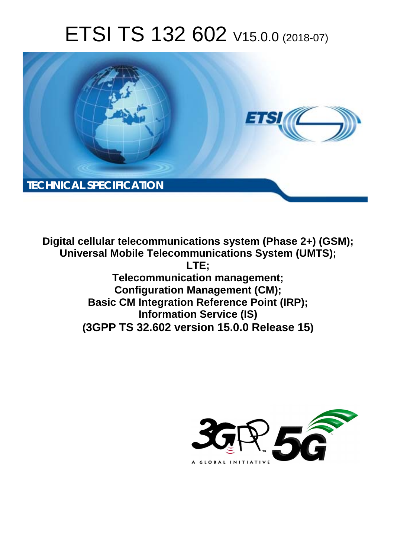# ETSI TS 132 602 V15.0.0 (2018-07)



**Digital cellular telecommunications system (Phase 2+) (GSM); Universal Mobile Telecommunications System (UMTS); LTE; Telecommunication management; Configuration Management (CM); Basic CM Integration Reference Point (IRP); Information Service (IS) (3GPP TS 32.602 version 15.0.0 Release 15)**

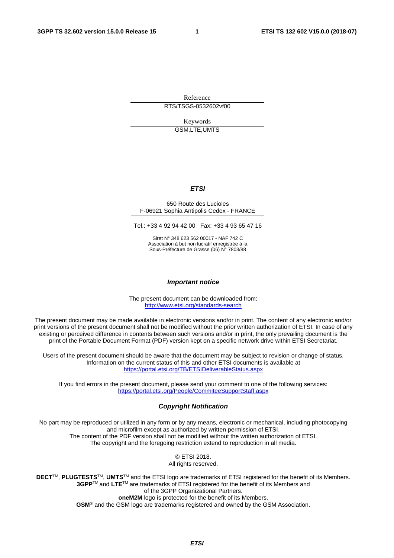Reference RTS/TSGS-0532602vf00

> Keywords GSM,LTE,UMTS

#### *ETSI*

#### 650 Route des Lucioles F-06921 Sophia Antipolis Cedex - FRANCE

Tel.: +33 4 92 94 42 00 Fax: +33 4 93 65 47 16

Siret N° 348 623 562 00017 - NAF 742 C Association à but non lucratif enregistrée à la Sous-Préfecture de Grasse (06) N° 7803/88

#### *Important notice*

The present document can be downloaded from: <http://www.etsi.org/standards-search>

The present document may be made available in electronic versions and/or in print. The content of any electronic and/or print versions of the present document shall not be modified without the prior written authorization of ETSI. In case of any existing or perceived difference in contents between such versions and/or in print, the only prevailing document is the print of the Portable Document Format (PDF) version kept on a specific network drive within ETSI Secretariat.

Users of the present document should be aware that the document may be subject to revision or change of status. Information on the current status of this and other ETSI documents is available at <https://portal.etsi.org/TB/ETSIDeliverableStatus.aspx>

If you find errors in the present document, please send your comment to one of the following services: <https://portal.etsi.org/People/CommiteeSupportStaff.aspx>

#### *Copyright Notification*

No part may be reproduced or utilized in any form or by any means, electronic or mechanical, including photocopying and microfilm except as authorized by written permission of ETSI. The content of the PDF version shall not be modified without the written authorization of ETSI. The copyright and the foregoing restriction extend to reproduction in all media.

> © ETSI 2018. All rights reserved.

**DECT**TM, **PLUGTESTS**TM, **UMTS**TM and the ETSI logo are trademarks of ETSI registered for the benefit of its Members. **3GPP**TM and **LTE**TM are trademarks of ETSI registered for the benefit of its Members and of the 3GPP Organizational Partners. **oneM2M** logo is protected for the benefit of its Members.

**GSM**® and the GSM logo are trademarks registered and owned by the GSM Association.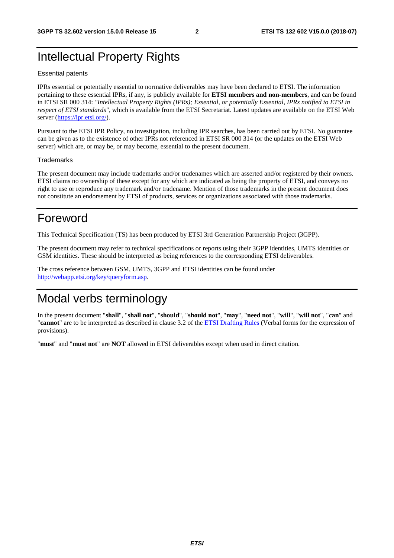# <span id="page-2-0"></span>Intellectual Property Rights

#### Essential patents

IPRs essential or potentially essential to normative deliverables may have been declared to ETSI. The information pertaining to these essential IPRs, if any, is publicly available for **ETSI members and non-members**, and can be found in ETSI SR 000 314: *"Intellectual Property Rights (IPRs); Essential, or potentially Essential, IPRs notified to ETSI in respect of ETSI standards"*, which is available from the ETSI Secretariat. Latest updates are available on the ETSI Web server ([https://ipr.etsi.org/\)](https://ipr.etsi.org/).

Pursuant to the ETSI IPR Policy, no investigation, including IPR searches, has been carried out by ETSI. No guarantee can be given as to the existence of other IPRs not referenced in ETSI SR 000 314 (or the updates on the ETSI Web server) which are, or may be, or may become, essential to the present document.

#### **Trademarks**

The present document may include trademarks and/or tradenames which are asserted and/or registered by their owners. ETSI claims no ownership of these except for any which are indicated as being the property of ETSI, and conveys no right to use or reproduce any trademark and/or tradename. Mention of those trademarks in the present document does not constitute an endorsement by ETSI of products, services or organizations associated with those trademarks.

# Foreword

This Technical Specification (TS) has been produced by ETSI 3rd Generation Partnership Project (3GPP).

The present document may refer to technical specifications or reports using their 3GPP identities, UMTS identities or GSM identities. These should be interpreted as being references to the corresponding ETSI deliverables.

The cross reference between GSM, UMTS, 3GPP and ETSI identities can be found under [http://webapp.etsi.org/key/queryform.asp.](http://webapp.etsi.org/key/queryform.asp)

# Modal verbs terminology

In the present document "**shall**", "**shall not**", "**should**", "**should not**", "**may**", "**need not**", "**will**", "**will not**", "**can**" and "**cannot**" are to be interpreted as described in clause 3.2 of the [ETSI Drafting Rules](https://portal.etsi.org/Services/editHelp!/Howtostart/ETSIDraftingRules.aspx) (Verbal forms for the expression of provisions).

"**must**" and "**must not**" are **NOT** allowed in ETSI deliverables except when used in direct citation.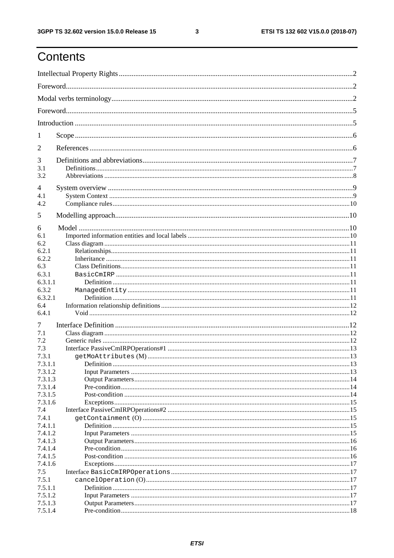$\mathbf{3}$ 

# Contents

| 1                                        |             |  |  |
|------------------------------------------|-------------|--|--|
| $\overline{2}$                           |             |  |  |
| 3<br>3.1<br>3.2                          |             |  |  |
| 4<br>4.1<br>4.2                          |             |  |  |
| 5                                        |             |  |  |
| 6<br>6.1<br>6.2                          |             |  |  |
| 6.2.1<br>6.2.2<br>6.3                    |             |  |  |
| 6.3.1<br>6.3.1.1                         |             |  |  |
| 6.3.2<br>6.3.2.1<br>6.4                  |             |  |  |
| 6.4.1                                    |             |  |  |
| 7<br>7.1<br>7.2<br>7.3                   |             |  |  |
| 7.3.1<br>7.3.1.1                         | Definition. |  |  |
| 7.3.1.2<br>7.3.1.3<br>7.3.1.4<br>7.3.1.5 |             |  |  |
| 7.3.1.6<br>7.4                           |             |  |  |
| 7.4.1<br>7.4.1.1<br>7.4.1.2              |             |  |  |
| 7.4.1.3<br>7.4.1.4<br>7.4.1.5<br>7.4.1.6 |             |  |  |
| 7.5<br>7.5.1<br>7.5.1.1                  |             |  |  |
| 7.5.1.2<br>7.5.1.3<br>7.5.1.4            |             |  |  |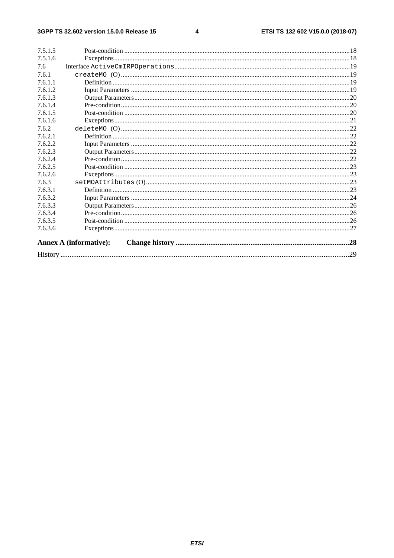#### $\overline{\mathbf{4}}$

| 7.5.1.5 |                               |     |
|---------|-------------------------------|-----|
| 7.5.1.6 |                               |     |
| 7.6     |                               |     |
| 7.6.1   |                               |     |
| 7.6.1.1 |                               |     |
| 7.6.1.2 |                               |     |
| 7.6.1.3 |                               |     |
| 7.6.1.4 |                               |     |
| 7.6.1.5 |                               |     |
| 7.6.1.6 |                               |     |
| 7.6.2   |                               |     |
| 7.6.2.1 |                               |     |
| 7.6.2.2 |                               |     |
| 7.6.2.3 |                               |     |
| 7.6.2.4 |                               |     |
| 7.6.2.5 |                               |     |
| 7.6.2.6 |                               |     |
| 7.6.3   |                               |     |
| 7.6.3.1 |                               |     |
| 7.6.3.2 |                               |     |
| 7.6.3.3 |                               |     |
| 7.6.3.4 |                               |     |
| 7.6.3.5 |                               |     |
| 7.6.3.6 |                               |     |
|         | <b>Annex A (informative):</b> |     |
|         |                               | .29 |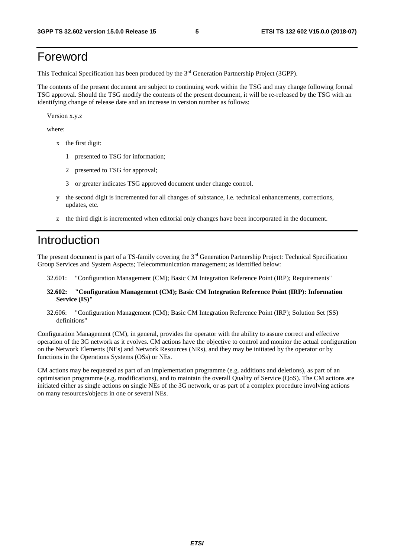# <span id="page-5-0"></span>Foreword

This Technical Specification has been produced by the 3rd Generation Partnership Project (3GPP).

The contents of the present document are subject to continuing work within the TSG and may change following formal TSG approval. Should the TSG modify the contents of the present document, it will be re-released by the TSG with an identifying change of release date and an increase in version number as follows:

Version x.y.z

where:

- x the first digit:
	- 1 presented to TSG for information;
	- 2 presented to TSG for approval;
	- 3 or greater indicates TSG approved document under change control.
- y the second digit is incremented for all changes of substance, i.e. technical enhancements, corrections, updates, etc.
- z the third digit is incremented when editorial only changes have been incorporated in the document.

# Introduction

The present document is part of a TS-family covering the 3rd Generation Partnership Project: Technical Specification Group Services and System Aspects; Telecommunication management; as identified below:

- 32.601: "Configuration Management (CM); Basic CM Integration Reference Point (IRP); Requirements"
- **32.602: "Configuration Management (CM); Basic CM Integration Reference Point (IRP): Information Service (IS)"**
- 32.606: "Configuration Management (CM); Basic CM Integration Reference Point (IRP); Solution Set (SS) definitions"

Configuration Management (CM), in general, provides the operator with the ability to assure correct and effective operation of the 3G network as it evolves. CM actions have the objective to control and monitor the actual configuration on the Network Elements (NEs) and Network Resources (NRs), and they may be initiated by the operator or by functions in the Operations Systems (OSs) or NEs.

CM actions may be requested as part of an implementation programme (e.g. additions and deletions), as part of an optimisation programme (e.g. modifications), and to maintain the overall Quality of Service (QoS). The CM actions are initiated either as single actions on single NEs of the 3G network, or as part of a complex procedure involving actions on many resources/objects in one or several NEs.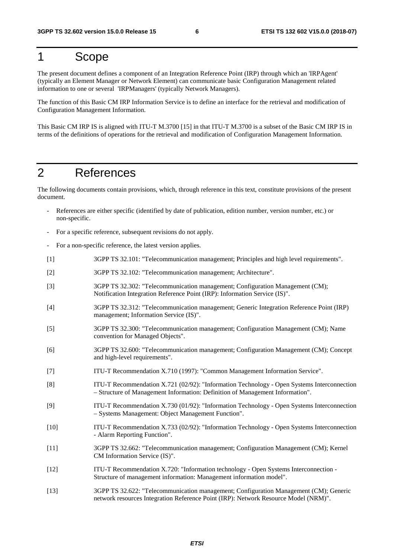# <span id="page-6-0"></span>1 Scope

The present document defines a component of an Integration Reference Point (IRP) through which an 'IRPAgent' (typically an Element Manager or Network Element) can communicate basic Configuration Management related information to one or several 'IRPManagers' (typically Network Managers).

The function of this Basic CM IRP Information Service is to define an interface for the retrieval and modification of Configuration Management Information.

This Basic CM IRP IS is aligned with ITU-T M.3700 [15] in that ITU-T M.3700 is a subset of the Basic CM IRP IS in terms of the definitions of operations for the retrieval and modification of Configuration Management Information.

# 2 References

The following documents contain provisions, which, through reference in this text, constitute provisions of the present document.

- References are either specific (identified by date of publication, edition number, version number, etc.) or non-specific.
- For a specific reference, subsequent revisions do not apply.
- For a non-specific reference, the latest version applies.
- [1] 3GPP TS 32.101: "Telecommunication management; Principles and high level requirements".
- [2] 3GPP TS 32.102: "Telecommunication management; Architecture".
- [3] 3GPP TS 32.302: "Telecommunication management; Configuration Management (CM); Notification Integration Reference Point (IRP): Information Service (IS)".
- [4] 3GPP TS 32.312: "Telecommunication management; Generic Integration Reference Point (IRP) management; Information Service (IS)".
- [5] 3GPP TS 32.300: "Telecommunication management; Configuration Management (CM); Name convention for Managed Objects".
- [6] 3GPP TS 32.600: "Telecommunication management; Configuration Management (CM); Concept and high-level requirements".
- [7] ITU-T Recommendation X.710 (1997): "Common Management Information Service".
- [8] ITU-T Recommendation X.721 (02/92): "Information Technology Open Systems Interconnection – Structure of Management Information: Definition of Management Information".
- [9] ITU-T Recommendation X.730 (01/92): "Information Technology Open Systems Interconnection – Systems Management: Object Management Function".
- [10] ITU-T Recommendation X.733 (02/92): "Information Technology Open Systems Interconnection - Alarm Reporting Function".
- [11] 3GPP TS 32.662: "Telecommunication management; Configuration Management (CM); Kernel CM Information Service (IS)".
- [12] ITU-T Recommendation X.720: "Information technology Open Systems Interconnection Structure of management information: Management information model".
- [13] 3GPP TS 32.622: "Telecommunication management; Configuration Management (CM); Generic network resources Integration Reference Point (IRP): Network Resource Model (NRM)".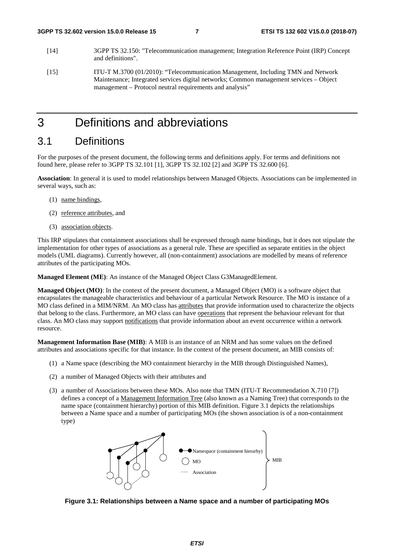- <span id="page-7-0"></span>[14] 3GPP TS 32.150: "Telecommunication management; Integration Reference Point (IRP) Concept and definitions".
- [15] ITU-T M.3700 (01/2010): "Telecommunication Management, Including TMN and Network Maintenance; Integrated services digital networks; Common management services – Object management – Protocol neutral requirements and analysis"

# 3 Definitions and abbreviations

# 3.1 Definitions

For the purposes of the present document, the following terms and definitions apply. For terms and definitions not found here, please refer to 3GPP TS 32.101 [1], 3GPP TS 32.102 [2] and 3GPP TS 32.600 [6].

**Association**: In general it is used to model relationships between Managed Objects. Associations can be implemented in several ways, such as:

- (1) name bindings,
- (2) reference attributes, and
- (3) association objects.

This IRP stipulates that containment associations shall be expressed through name bindings, but it does not stipulate the implementation for other types of associations as a general rule. These are specified as separate entities in the object models (UML diagrams). Currently however, all (non-containment) associations are modelled by means of reference attributes of the participating MOs.

**Managed Element (ME)**: An instance of the Managed Object Class G3ManagedElement.

**Managed Object (MO)**: In the context of the present document, a Managed Object (MO) is a software object that encapsulates the manageable characteristics and behaviour of a particular Network Resource. The MO is instance of a MO class defined in a MIM/NRM. An MO class has attributes that provide information used to characterize the objects that belong to the class. Furthermore, an MO class can have operations that represent the behaviour relevant for that class. An MO class may support notifications that provide information about an event occurrence within a network resource.

**Management Information Base (MIB)**: A MIB is an instance of an NRM and has some values on the defined attributes and associations specific for that instance. In the context of the present document, an MIB consists of:

- (1) a Name space (describing the MO containment hierarchy in the MIB through Distinguished Names),
- (2) a number of Managed Objects with their attributes and
- (3) a number of Associations between these MOs. Also note that TMN (ITU-T Recommendation X.710 [7]) defines a concept of a Management Information Tree (also known as a Naming Tree) that corresponds to the name space (containment hierarchy) portion of this MIB definition. Figure 3.1 depicts the relationships between a Name space and a number of participating MOs (the shown association is of a non-containment type)



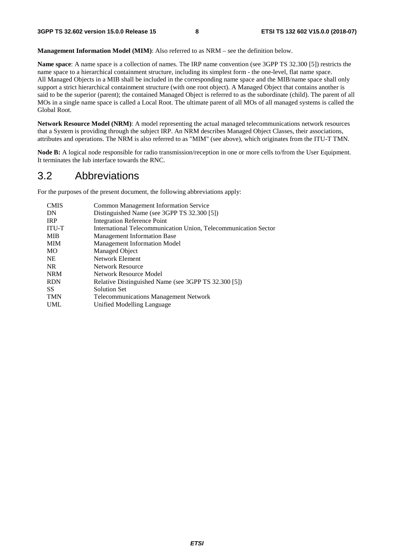<span id="page-8-0"></span>**Management Information Model (MIM)**: Also referred to as NRM – see the definition below.

**Name space**: A name space is a collection of names. The IRP name convention (see 3GPP TS 32.300 [5]) restricts the name space to a hierarchical containment structure, including its simplest form - the one-level, flat name space. All Managed Objects in a MIB shall be included in the corresponding name space and the MIB/name space shall only support a strict hierarchical containment structure (with one root object). A Managed Object that contains another is said to be the superior (parent); the contained Managed Object is referred to as the subordinate (child). The parent of all MOs in a single name space is called a Local Root. The ultimate parent of all MOs of all managed systems is called the Global Root.

**Network Resource Model (NRM)**: A model representing the actual managed telecommunications network resources that a System is providing through the subject IRP. An NRM describes Managed Object Classes, their associations, attributes and operations. The NRM is also referred to as "MIM" (see above), which originates from the ITU-T TMN.

**Node B:** A logical node responsible for radio transmission/reception in one or more cells to/from the User Equipment. It terminates the Iub interface towards the RNC.

# 3.2 Abbreviations

For the purposes of the present document, the following abbreviations apply:

| <b>Common Management Information Service</b>                    |
|-----------------------------------------------------------------|
| Distinguished Name (see 3GPP TS 32.300 [5])                     |
| Integration Reference Point                                     |
| International Telecommunication Union, Telecommunication Sector |
| <b>Management Information Base</b>                              |
| <b>Management Information Model</b>                             |
| Managed Object                                                  |
| Network Element                                                 |
| <b>Network Resource</b>                                         |
| Network Resource Model                                          |
| Relative Distinguished Name (see 3GPP TS 32.300 [5])            |
| <b>Solution Set</b>                                             |
| <b>Telecommunications Management Network</b>                    |
| Unified Modelling Language                                      |
|                                                                 |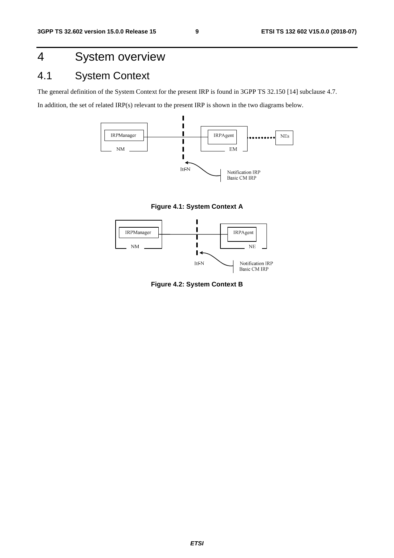# <span id="page-9-0"></span>4 System overview

# 4.1 System Context

The general definition of the System Context for the present IRP is found in 3GPP TS 32.150 [14] subclause 4.7.

In addition, the set of related IRP(s) relevant to the present IRP is shown in the two diagrams below.



**Figure 4.1: System Context A** 



**Figure 4.2: System Context B**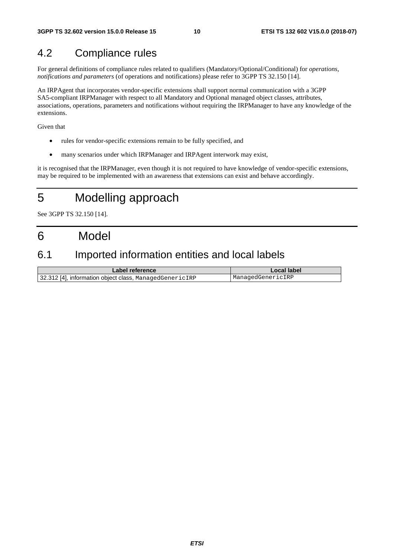# <span id="page-10-0"></span>4.2 Compliance rules

For general definitions of compliance rules related to qualifiers (Mandatory/Optional/Conditional) for *operations*, *notifications and parameters* (of operations and notifications) please refer to 3GPP TS 32.150 [14].

An IRPAgent that incorporates vendor-specific extensions shall support normal communication with a 3GPP SA5-compliant IRPManager with respect to all Mandatory and Optional managed object classes, attributes, associations, operations, parameters and notifications without requiring the IRPManager to have any knowledge of the extensions.

Given that

- rules for vendor-specific extensions remain to be fully specified, and
- many scenarios under which IRPManager and IRPAgent interwork may exist,

it is recognised that the IRPManager, even though it is not required to have knowledge of vendor-specific extensions, may be required to be implemented with an awareness that extensions can exist and behave accordingly.

# 5 Modelling approach

See 3GPP TS 32.150 [14].

# 6 Model

# 6.1 Imported information entities and local labels

| Label reference                                         | Local label       |
|---------------------------------------------------------|-------------------|
| 32.312 [4], information object class, ManagedGenericIRP | ManagedGenericIRP |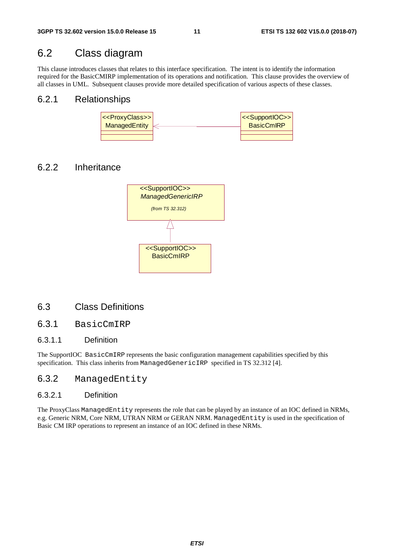# <span id="page-11-0"></span>6.2 Class diagram

This clause introduces classes that relates to this interface specification. The intent is to identify the information required for the BasicCMIRP implementation of its operations and notification. This clause provides the overview of all classes in UML. Subsequent clauses provide more detailed specification of various aspects of these classes.

#### 6.2.1 Relationships



### 6.2.2 Inheritance



### 6.3 Class Definitions

### 6.3.1 BasicCmIRP

#### 6.3.1.1 Definition

The SupportIOC BasicCmIRP represents the basic configuration management capabilities specified by this specification. This class inherits from ManagedGenericIRP specified in TS 32.312 [4].

### 6.3.2 ManagedEntity

#### 6.3.2.1 Definition

The ProxyClass ManagedEntity represents the role that can be played by an instance of an IOC defined in NRMs, e.g. Generic NRM, Core NRM, UTRAN NRM or GERAN NRM. ManagedEntity is used in the specification of Basic CM IRP operations to represent an instance of an IOC defined in these NRMs.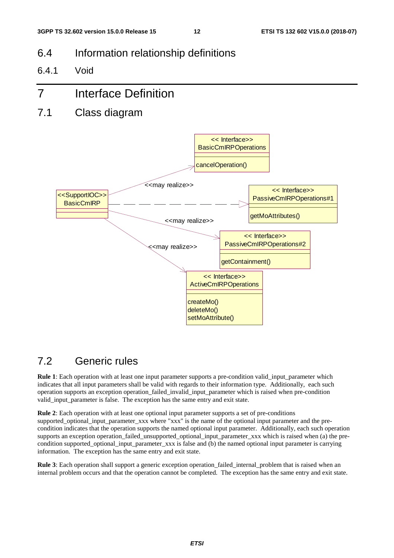- <span id="page-12-0"></span>6.4 Information relationship definitions
- 6.4.1 Void

# 7 Interface Definition

7.1 Class diagram



# 7.2 Generic rules

**Rule 1**: Each operation with at least one input parameter supports a pre-condition valid\_input\_parameter which indicates that all input parameters shall be valid with regards to their information type. Additionally, each such operation supports an exception operation\_failed\_invalid\_input\_parameter which is raised when pre-condition valid input parameter is false. The exception has the same entry and exit state.

**Rule 2**: Each operation with at least one optional input parameter supports a set of pre-conditions supported\_optional\_input\_parameter\_xxx where "xxx" is the name of the optional input parameter and the precondition indicates that the operation supports the named optional input parameter. Additionally, each such operation supports an exception operation\_failed\_unsupported\_optional\_input\_parameter\_xxx which is raised when (a) the precondition supported\_optional\_input\_parameter\_xxx is false and (b) the named optional input parameter is carrying information. The exception has the same entry and exit state.

**Rule 3**: Each operation shall support a generic exception operation failed internal problem that is raised when an internal problem occurs and that the operation cannot be completed. The exception has the same entry and exit state.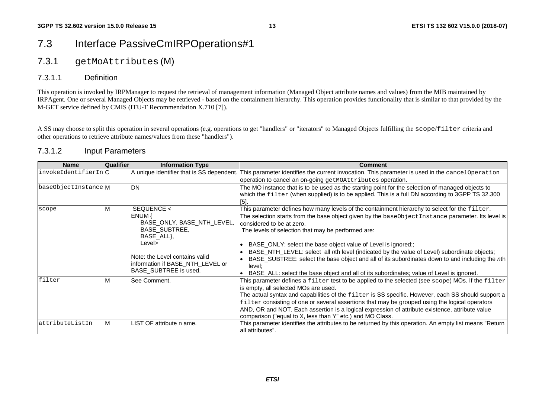# <span id="page-13-0"></span>7.3 Interface PassiveCmIRPOperations#1

### 7.3.1 getMoAttributes (M)

### 7.3.1.1 Definition

This operation is invoked by IRPManager to request the retrieval of management information (Managed Object attribute names and values) from the MIB maintained by IRPAgent. One or several Managed Objects may be retrieved - based on the containment hierarchy. This operation provides functionality that is similar to that provided by the M-GET service defined by CMIS (ITU-T Recommendation X.710 [7]).

A SS may choose to split this operation in several operations (e.g. operations to get "handlers" or "iterators" to Managed Objects fulfilling the scope/filter criteria and other operations to retrieve attribute names/values from these "handlers").

### 7.3.1.2 Input Parameters

| <b>Name</b>         | <b>Qualifier</b> | <b>Information Type</b>                                                                                                                                                                           | <b>Comment</b>                                                                                                                                                                                                                                                                                                                                                                                                                                                                                                                                                                                                                                                 |
|---------------------|------------------|---------------------------------------------------------------------------------------------------------------------------------------------------------------------------------------------------|----------------------------------------------------------------------------------------------------------------------------------------------------------------------------------------------------------------------------------------------------------------------------------------------------------------------------------------------------------------------------------------------------------------------------------------------------------------------------------------------------------------------------------------------------------------------------------------------------------------------------------------------------------------|
| invokeIdentifierInC |                  |                                                                                                                                                                                                   | A unique identifier that is SS dependent. This parameter identifies the current invocation. This parameter is used in the cancel Operation                                                                                                                                                                                                                                                                                                                                                                                                                                                                                                                     |
|                     |                  |                                                                                                                                                                                                   | operation to cancel an on-going getMOAttributes operation.                                                                                                                                                                                                                                                                                                                                                                                                                                                                                                                                                                                                     |
| baseObjectInstanceM |                  | <b>DN</b>                                                                                                                                                                                         | The MO instance that is to be used as the starting point for the selection of managed objects to<br>which the filter (when supplied) is to be applied. This is a full DN according to 3GPP TS 32.300                                                                                                                                                                                                                                                                                                                                                                                                                                                           |
| scope               | M                | SEQUENCE <<br>ENUM {<br>BASE_ONLY, BASE_NTH_LEVEL,<br><b>BASE SUBTREE,</b><br>BASE_ALL},<br>Level><br>Note: the Level contains valid<br>information if BASE_NTH_LEVEL or<br>BASE SUBTREE is used. | This parameter defines how many levels of the containment hierarchy to select for the filter.<br>The selection starts from the base object given by the baseObject Instance parameter. Its level is<br>considered to be at zero.<br>The levels of selection that may be performed are:<br>BASE_ONLY: select the base object value of Level is ignored;;<br>BASE_NTH_LEVEL: select all nth level (indicated by the value of Level) subordinate objects;<br>BASE_SUBTREE: select the base object and all of its subordinates down to and including the nth<br>level;<br>BASE_ALL: select the base object and all of its subordinates; value of Level is ignored. |
| filter              | ΙM               | See Comment.                                                                                                                                                                                      | This parameter defines a filter test to be applied to the selected (see $\text{scope}$ ) MOs. If the filter<br>is empty, all selected MOs are used.<br>The actual syntax and capabilities of the filter is SS specific. However, each SS should support a<br>filter consisting of one or several assertions that may be grouped using the logical operators<br>AND, OR and NOT. Each assertion is a logical expression of attribute existence, attribute value<br>comparison ("equal to X, less than Y" etc.) and MO Class.                                                                                                                                    |
| attributeListIn     | lм               | ILIST OF attribute n ame.                                                                                                                                                                         | This parameter identifies the attributes to be returned by this operation. An empty list means "Return<br>all attributes".                                                                                                                                                                                                                                                                                                                                                                                                                                                                                                                                     |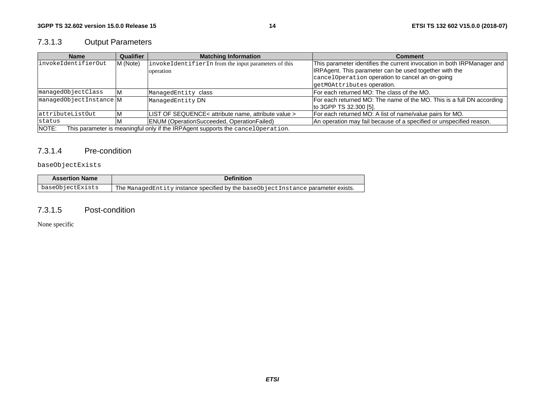# <span id="page-14-0"></span>7.3.1.3 Output Parameters

| <b>Name</b>                                                                                       | Qualifier | <b>Matching Information</b>                          | Comment                                                                 |
|---------------------------------------------------------------------------------------------------|-----------|------------------------------------------------------|-------------------------------------------------------------------------|
| invokeIdentifierOut                                                                               | M (Note)  | invokeIdentifierIn from the input parameters of this | This parameter identifies the current invocation in both IRPManager and |
|                                                                                                   |           | operation                                            | IRPAgent. This parameter can be used together with the                  |
|                                                                                                   |           |                                                      | cancelOperation operation to cancel an on-going                         |
|                                                                                                   |           |                                                      | getMOAttributes operation.                                              |
| managedObjectClass                                                                                |           | ManagedEntity class                                  | IFor each returned MO: The class of the MO.                             |
| managedObjectInstance M                                                                           |           | ManagedEntity DN                                     | For each returned MO: The name of the MO. This is a full DN according   |
|                                                                                                   |           |                                                      | to 3GPP TS 32.300 [5].                                                  |
| attributeListOut                                                                                  | ΙM        | LIST OF SEQUENCE< attribute name, attribute value >  | For each returned MO: A list of name/value pairs for MO.                |
| status                                                                                            | <b>IV</b> | <b>ENUM (OperationSucceeded, OperationFailed)</b>    | An operation may fail because of a specified or unspecified reason.     |
| This parameter is meaningful only if the IRPAgent supports the cancel Operation.<br><b>INOTE:</b> |           |                                                      |                                                                         |

#### 7.3.1.4 Pre-condition

#### baseObjectExists

| <b>Assertion Name</b> | <b>Definition</b>                                                                |
|-----------------------|----------------------------------------------------------------------------------|
| baseObjectExists      | The ManagedEntity instance specified by the baseObjectInstance parameter exists. |

#### 7.3.1.5 Post-condition

None specific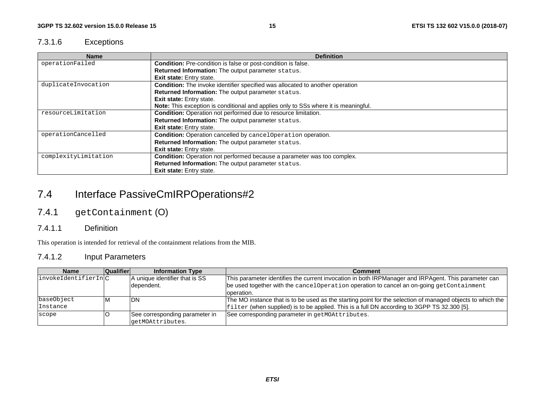### <span id="page-15-0"></span>7.3.1.6 Exceptions

| <b>Name</b>          | <b>Definition</b>                                                                    |
|----------------------|--------------------------------------------------------------------------------------|
| operationFailed      | <b>Condition:</b> Pre-condition is false or post-condition is false.                 |
|                      | Returned Information: The output parameter status.                                   |
|                      | <b>Exit state:</b> Entry state.                                                      |
| duplicateInvocation  | <b>Condition:</b> The invoke identifier specified was allocated to another operation |
|                      | Returned Information: The output parameter status.                                   |
|                      | Exit state: Entry state.                                                             |
|                      | Note: This exception is conditional and applies only to SSs where it is meaningful.  |
| resourceLimitation   | Condition: Operation not performed due to resource limitation.                       |
|                      | Returned Information: The output parameter status.                                   |
|                      | <b>Exit state:</b> Entry state.                                                      |
| operationCancelled   | Condition: Operation cancelled by cancelOperation operation.                         |
|                      | Returned Information: The output parameter status.                                   |
|                      | <b>Exit state:</b> Entry state.                                                      |
| complexityLimitation | Condition: Operation not performed because a parameter was too complex.              |
|                      | Returned Information: The output parameter status.                                   |
|                      | <b>Exit state:</b> Entry state.                                                      |

# 7.4 Interface PassiveCmIRPOperations#2

# 7.4.1 getContainment (O)

#### 7.4.1.1 Definition

This operation is intended for retrieval of the containment relations from the MIB.

### 7.4.1.2 Input Parameters

| <b>Name</b>                  | <b>Qualifier</b> | <b>Information Type</b>        | Comment                                                                                                    |
|------------------------------|------------------|--------------------------------|------------------------------------------------------------------------------------------------------------|
| $ $ invokeIdentifierIn $ C $ |                  | A unique identifier that is SS | This parameter identifies the current invocation in both IRPManager and IRPAgent. This parameter can       |
|                              |                  | dependent.                     | be used together with the cancel Operation operation to cancel an on-going getContainment                  |
|                              |                  |                                | loperation.                                                                                                |
| baseObject                   | ιM               | <b>IDN</b>                     | The MO instance that is to be used as the starting point for the selection of managed objects to which the |
| Instance                     |                  |                                | filter (when supplied) is to be applied. This is a full DN according to 3GPP TS 32.300 [5].                |
| scope                        |                  | See corresponding parameter in | See corresponding parameter in getMOAttributes.                                                            |
|                              |                  | qetMOAttributes.               |                                                                                                            |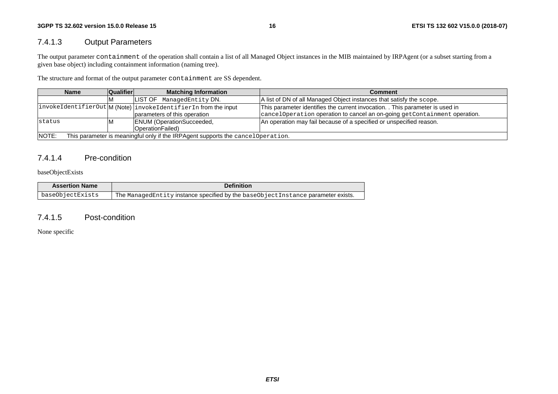### <span id="page-16-0"></span>7.4.1.3 Output Parameters

The output parameter containment of the operation shall contain a list of all Managed Object instances in the MIB maintained by IRPAgent (or a subset starting from a given base object) including containment information (naming tree).

The structure and format of the output parameter containment are SS dependent.

| <b>Name</b>                                                                               | <b>Qualifier</b> | <b>Matching Information</b>                                   | <b>Comment</b>                                                                |
|-------------------------------------------------------------------------------------------|------------------|---------------------------------------------------------------|-------------------------------------------------------------------------------|
|                                                                                           |                  | LIST OF ManagedEntity DN.                                     | A list of DN of all Managed Object instances that satisfy the scope.          |
|                                                                                           |                  | invokeIdentifierOut M(Note) invokeIdentifierIn from the input | This parameter identifies the current invocation. . This parameter is used in |
|                                                                                           |                  | parameters of this operation                                  | cancelOperation operation to cancel an on-going getContainment operation.     |
| status                                                                                    |                  | <b>ENUM</b> (OperationSucceeded,                              | An operation may fail because of a specified or unspecified reason.           |
|                                                                                           |                  | OperationFailed)                                              |                                                                               |
| NOTE:<br>This parameter is meaningful only if the IRPAgent supports the cancel Operation. |                  |                                                               |                                                                               |

### 7.4.1.4 Pre-condition

baseObjectExists

| <b>Assertion Name</b> | <b>Definition</b>                                                                |
|-----------------------|----------------------------------------------------------------------------------|
| baseObjectExists      | The ManagedEntity instance specified by the baseObjectInstance parameter exists. |

### 7.4.1.5 Post-condition

None specific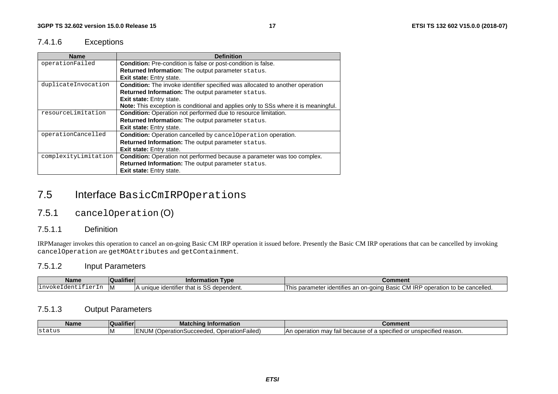### <span id="page-17-0"></span>7.4.1.6 Exceptions

| <b>Name</b>          | <b>Definition</b>                                                                          |
|----------------------|--------------------------------------------------------------------------------------------|
| operationFailed      | Condition: Pre-condition is false or post-condition is false.                              |
|                      | <b>Returned Information:</b> The output parameter status.                                  |
|                      | <b>Exit state:</b> Entry state.                                                            |
| duplicateInvocation  | <b>Condition:</b> The invoke identifier specified was allocated to another operation       |
|                      | Returned Information: The output parameter status.                                         |
|                      | <b>Exit state:</b> Entry state.                                                            |
|                      | <b>Note:</b> This exception is conditional and applies only to SSs where it is meaningful. |
| resourceLimitation   | Condition: Operation not performed due to resource limitation.                             |
|                      | Returned Information: The output parameter status.                                         |
|                      | <b>Exit state:</b> Entry state.                                                            |
| operationCancelled   | Condition: Operation cancelled by cancelOperation operation.                               |
|                      | Returned Information: The output parameter status.                                         |
|                      | <b>Exit state:</b> Entry state.                                                            |
| complexityLimitation | Condition: Operation not performed because a parameter was too complex.                    |
|                      | Returned Information: The output parameter status.                                         |
|                      | <b>Exit state:</b> Entry state.                                                            |

# 7.5 Interface BasicCmIRPOperations

# 7.5.1 cancelOperation (O)

#### 7.5.1.1 Definition

IRPManager invokes this operation to cancel an on-going Basic CM IRP operation it issued before. Presently the Basic CM IRP operations that can be cancelled by invoking cancelOperation are getMOAttributes and getContainment.

### 7.5.1.2 Input Parameters

| <b>Name</b>                      | <b>Qualifier</b> | Tvpe<br>Information                                                                                              | Comment                                                                                                                                                     |
|----------------------------------|------------------|------------------------------------------------------------------------------------------------------------------|-------------------------------------------------------------------------------------------------------------------------------------------------------------|
| $\sim$<br>$T_{\rm T}$<br>. ⊥11 V | 1 V I            | $\cdots$<br>$\sim$<br>$\ldots$ use identifier that $\ddotsc$<br>dependent.<br>$\cdots$<br>$\mathbf{v}$<br>u<br>. | CM IRP<br>$\cdots$<br>e cancelled.<br><b>Doolo</b><br>l his<br>s parametei<br>s an on-going<br>peration to be<br>ാ വര <i>്</i><br>Jentifies<br>i basic<br>v |

### 7.5.1.3 Output Parameters

| <b>Name</b> | ----<br>ualifiei | <b>Matching Information</b>                                                                  | ommenτ                                                                                                                                                                            |
|-------------|------------------|----------------------------------------------------------------------------------------------|-----------------------------------------------------------------------------------------------------------------------------------------------------------------------------------|
| Istatus     |                  | <br>w<br>ailed <sup>®</sup><br><b>Deration</b><br>∵berationSucceedeo.<br>ועושעו<br><u>UU</u> | $\cdots$<br>unspecified reason.<br>may<br>because<br>nnon<br>$\sim$<br>$\sim$ r<br>റ†<br>$\ddot{\phantom{0}}$<br>IAN.<br>ıdı<br>.<br>. vucialiui 1<br>- 21<br>.<br>. . <i>. .</i> |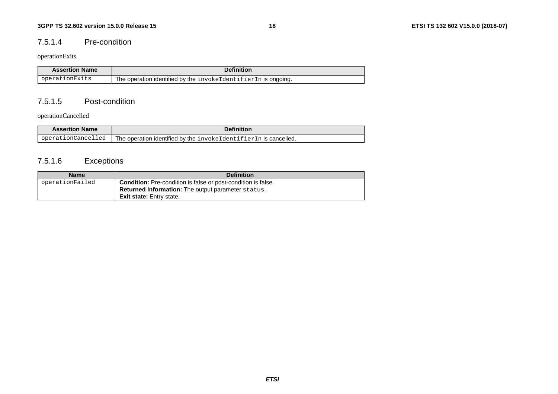#### <span id="page-18-0"></span>7.5.1.4 Pre-condition

#### operationExits

| <b>Assertion Name</b> | Definition                                                      |
|-----------------------|-----------------------------------------------------------------|
| operationExits        | The operation identified by the invokeldentifier In is ongoing. |

#### 7.5.1.5 Post-condition

operationCancelled

| <b>Assertion Name</b> | <b>Definition</b>                                                  |
|-----------------------|--------------------------------------------------------------------|
| operationCancelled    | The operation identified by the invoked dentifier In is cancelled. |

# 7.5.1.6 Exceptions

| <b>Name</b>     | <b>Definition</b>                                                    |
|-----------------|----------------------------------------------------------------------|
| operationFailed | <b>Condition:</b> Pre-condition is false or post-condition is false. |
|                 | <b>Returned Information:</b> The output parameter status.            |
|                 | <b>Exit state:</b> Entry state.                                      |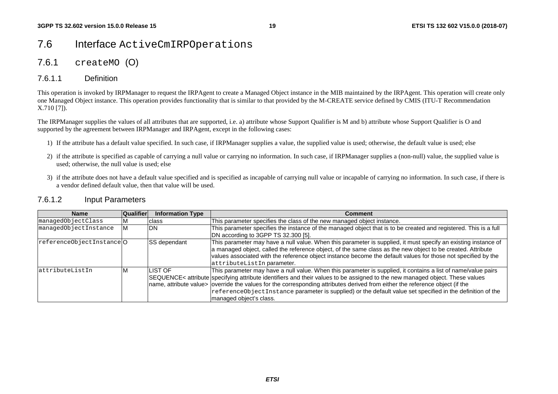# <span id="page-19-0"></span>7.6 Interface ActiveCmIRPOperations

### 7.6.1 createMO (O)

### 7.6.1.1 Definition

This operation is invoked by IRPManager to request the IRPAgent to create a Managed Object instance in the MIB maintained by the IRPAgent. This operation will create only one Managed Object instance. This operation provides functionality that is similar to that provided by the M-CREATE service defined by CMIS (ITU-T Recommendation X.710 [7]).

The IRPManager supplies the values of all attributes that are supported, i.e. a) attribute whose Support Qualifier is M and b) attribute whose Support Qualifier is O and supported by the agreement between IRPManager and IRPAgent, except in the following cases:

- 1) If the attribute has a default value specified. In such case, if IRPManager supplies a value, the supplied value is used; otherwise, the default value is used; else
- 2) if the attribute is specified as capable of carrying a null value or carrying no information. In such case, if IRPManager supplies a (non-null) value, the supplied value is used; otherwise, the null value is used; else
- 3) if the attribute does not have a default value specified and is specified as incapable of carrying null value or incapable of carrying no information. In such case, if there is a vendor defined default value, then that value will be used.

#### 7.6.1.2 Input Parameters

| <b>Name</b>               | <b>Qualifier</b> | <b>Information Type</b> | Comment                                                                                                                                                                                                                                                                                                                                                                                                                                                                                                                        |
|---------------------------|------------------|-------------------------|--------------------------------------------------------------------------------------------------------------------------------------------------------------------------------------------------------------------------------------------------------------------------------------------------------------------------------------------------------------------------------------------------------------------------------------------------------------------------------------------------------------------------------|
| managedObjectClass        |                  | class                   | This parameter specifies the class of the new managed object instance.                                                                                                                                                                                                                                                                                                                                                                                                                                                         |
| managedObjectInstance     | M                | IDN.                    | This parameter specifies the instance of the managed object that is to be created and registered. This is a full<br>DN according to 3GPP TS 32.300 [5].                                                                                                                                                                                                                                                                                                                                                                        |
| referenceObjectInstance O |                  | <b>SS</b> dependant     | This parameter may have a null value. When this parameter is supplied, it must specify an existing instance of<br>a managed object, called the reference object, of the same class as the new object to be created. Attribute<br>values associated with the reference object instance become the default values for those not specified by the<br>attributeListIn parameter.                                                                                                                                                   |
| lattributeListIn          | M                | <b>ILIST OF</b>         | This parameter may have a null value. When this parameter is supplied, it contains a list of name/value pairs<br>SEQUENCE< attribute specifying attribute identifiers and their values to be assigned to the new managed object. These values<br>name, attribute value> override the values for the corresponding attributes derived from either the reference object (if the<br>$\vert$ referenceObjectInstance parameter is supplied) or the default value set specified in the definition of the<br>managed object's class. |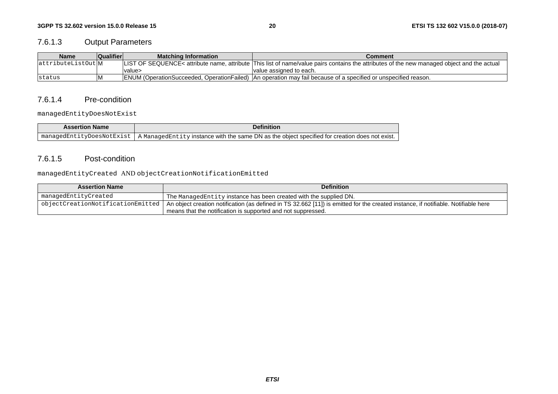### <span id="page-20-0"></span>7.6.1.3 Output Parameters

| Name                | Qualifier | <b>Matching Information</b> | Comment                                                                                                                                     |
|---------------------|-----------|-----------------------------|---------------------------------------------------------------------------------------------------------------------------------------------|
| lattributeListOut M |           |                             | LIST OF SEQUENCE< attribute name, attribute  This list of name/value pairs contains the attributes of the new managed object and the actual |
|                     |           | value>                      | Ivalue assigned to each.                                                                                                                    |
| Istatus             | 1VI       |                             | <b>ENUM</b> (OperationSucceeded, OperationFailed) An operation may fail because of a specified or unspecified reason.                       |

#### 7.6.1.4 Pre-condition

managedEntityDoesNotExist

| <b>Assertion Name</b>     | Definitior                                                                                                    |
|---------------------------|---------------------------------------------------------------------------------------------------------------|
| managedEntityDoesNotExist | . A <code>ManagedEntity</code> instance with the same DN as the object specified for creation does not exist. |

#### 7.6.1.5 Post-condition

managedEntityCreated AND objectCreationNotificationEmitted

| <b>Assertion Name</b> | <b>Definition</b>                                                                                                                                                            |
|-----------------------|------------------------------------------------------------------------------------------------------------------------------------------------------------------------------|
| managedEntityCreated  | The ManagedEntity instance has been created with the supplied DN.                                                                                                            |
|                       | pobjectCreationNotificationEmitted   An object creation notification (as defined in TS 32.662 [11]) is emitted for the created instance, if notifiable. Notifiable here $\,$ |
|                       | means that the notification is supported and not suppressed.                                                                                                                 |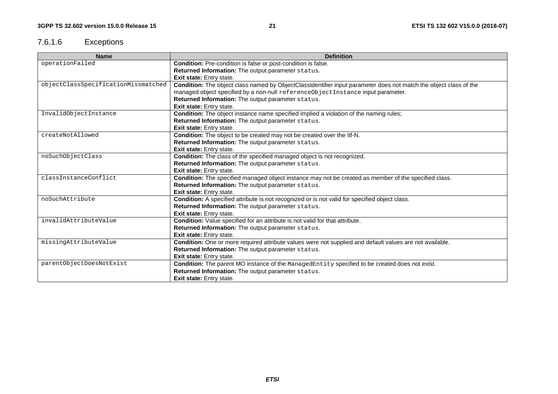# <span id="page-21-0"></span>7.6.1.6 Exceptions

| <b>Name</b>                         | <b>Definition</b>                                                                                                 |
|-------------------------------------|-------------------------------------------------------------------------------------------------------------------|
| operationFailed                     | Condition: Pre-condition is false or post-condition is false.                                                     |
|                                     | Returned Information: The output parameter status.                                                                |
|                                     | <b>Exit state:</b> Entry state.                                                                                   |
| objectClassSpecificationMissmatched | Condition: The object class named by ObjectClassIdentifier input parameter does not match the object class of the |
|                                     | managed object specified by a non-null referenceObjectInstance input parameter.                                   |
|                                     | Returned Information: The output parameter status.                                                                |
|                                     | Exit state: Entry state.                                                                                          |
| InvalidObjectInstance               | Condition: The object instance name specified implied a violation of the naming rules;                            |
|                                     | Returned Information: The output parameter status.                                                                |
|                                     | Exit state: Entry state.                                                                                          |
| createNotAllowed                    | Condition: The object to be created may not be created over the ltf-N.                                            |
|                                     | Returned Information: The output parameter status.                                                                |
|                                     | Exit state: Entry state.                                                                                          |
| noSuchObjectClass                   | Condition: The class of the specified managed object is not recognized.                                           |
|                                     | Returned Information: The output parameter status.                                                                |
|                                     | Exit state: Entry state.                                                                                          |
| classInstanceConflict               | Condition: The specified managed object instance may not be created as member of the specified class.             |
|                                     | Returned Information: The output parameter status.                                                                |
|                                     | Exit state: Entry state.                                                                                          |
| noSuchAttribute                     | <b>Condition:</b> A specified attribute is not recognized or is not valid for specified object class.             |
|                                     | Returned Information: The output parameter status.                                                                |
|                                     | Exit state: Entry state.                                                                                          |
| invalidAttributeValue               | Condition: Value specified for an attribute is not valid for that attribute.                                      |
|                                     | Returned Information: The output parameter status.                                                                |
|                                     | Exit state: Entry state.                                                                                          |
| missingAttributeValue               | Condition: One or more required attribute values were not supplied and default values are not available.          |
|                                     | Returned Information: The output parameter status.                                                                |
|                                     | Exit state: Entry state.                                                                                          |
| parentObjectDoesNotExist            | Condition: The parent MO instance of the ManagedEntity specified to be created does not exist.                    |
|                                     | Returned Information: The output parameter status.                                                                |
|                                     | Exit state: Entry state.                                                                                          |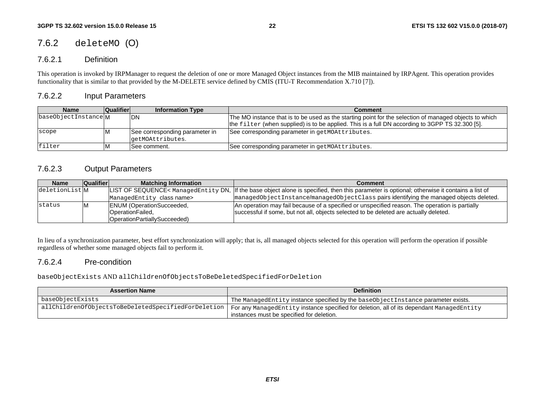## <span id="page-22-0"></span>7.6.2 deleteMO (O)

### 7.6.2.1 Definition

This operation is invoked by IRPManager to request the deletion of one or more Managed Object instances from the MIB maintained by IRPAgent. This operation provides functionality that is similar to that provided by the M-DELETE service defined by CMIS (ITU-T Recommendation X.710 [7]).

### 7.6.2.2 Input Parameters

| <b>Name</b>         | <b>Qualifier</b> | <b>Information Type</b>        | Comment                                                                                                |
|---------------------|------------------|--------------------------------|--------------------------------------------------------------------------------------------------------|
| baseObjectInstanceM |                  | IDN                            | The MO instance that is to be used as the starting point for the selection of managed objects to which |
|                     |                  |                                | the filter (when supplied) is to be applied. This is a full DN according to 3GPP TS 32.300 [5].        |
| scope               |                  | See corresponding parameter in | See corresponding parameter in getMOAttributes.                                                        |
|                     |                  | qetMOAttributes.               |                                                                                                        |
| filter              |                  | ISee comment.                  | See corresponding parameter in getMOAttributes.                                                        |

### 7.6.2.3 Output Parameters

| Name          | <b>Qualifier</b> | <b>Matching Information</b>                                                                  | Comment                                                                                                                                                                                 |
|---------------|------------------|----------------------------------------------------------------------------------------------|-----------------------------------------------------------------------------------------------------------------------------------------------------------------------------------------|
| deletionListM |                  |                                                                                              | LIST OF SEQUENCE< ManagedEntity DN, If the base object alone is specified, then this parameter is optional; otherwise it contains a list of                                             |
|               |                  | ManagedEntity class name>                                                                    | managedObjectInstance/managedObjectClass pairs identifying the managed objects deleted.                                                                                                 |
| status        |                  | <b>ENUM (OperationSucceeded,</b><br>OperationFailed,<br><b>IOperationPartiallvSucceeded)</b> | An operation may fail because of a specified or unspecified reason. The operation is partially<br>successful if some, but not all, objects selected to be deleted are actually deleted. |

In lieu of a synchronization parameter, best effort synchronization will apply; that is, all managed objects selected for this operation will perform the operation if possible regardless of whether some managed objects fail to perform it.

### 7.6.2.4 Pre-condition

baseObjectExists AND allChildrenOfObjectsToBeDeletedSpecifiedForDeletion

| <b>Assertion Name</b>                               | <b>Definition</b>                                                                         |
|-----------------------------------------------------|-------------------------------------------------------------------------------------------|
| baseObjectExists                                    | The Managed Entity instance specified by the base Object Instance parameter exists.       |
| allChildrenOfObjectsToBeDeletedSpecifiedForDeletion | For any ManagedEntity instance specified for deletion, all of its dependant ManagedEntity |
|                                                     | instances must be specified for deletion.                                                 |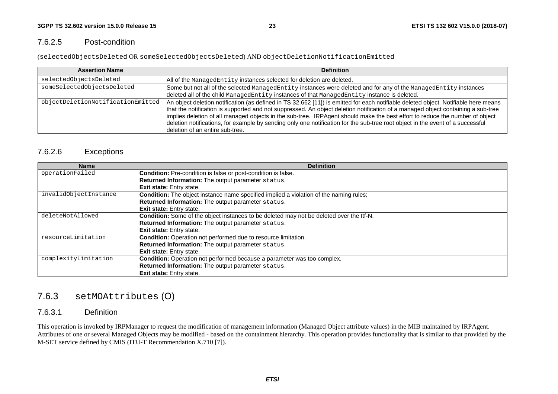### <span id="page-23-0"></span>7.6.2.5 Post-condition

(selectedObjectsDeleted OR someSelectedObjectsDeleted) AND objectDeletionNotificationEmitted

| <b>Assertion Name</b>             | <b>Definition</b>                                                                                                                                                                                                                                                                                                                                                                                                                                                                                                                                                            |
|-----------------------------------|------------------------------------------------------------------------------------------------------------------------------------------------------------------------------------------------------------------------------------------------------------------------------------------------------------------------------------------------------------------------------------------------------------------------------------------------------------------------------------------------------------------------------------------------------------------------------|
| selectedObjectsDeleted            | All of the ManagedEntity instances selected for deletion are deleted.                                                                                                                                                                                                                                                                                                                                                                                                                                                                                                        |
| someSelectedObjectsDeleted        | Some but not all of the selected ManagedEntity instances were deleted and for any of the ManagedEntity instances                                                                                                                                                                                                                                                                                                                                                                                                                                                             |
|                                   | deleted all of the child ManagedEntity instances of that ManagedEntity instance is deleted.                                                                                                                                                                                                                                                                                                                                                                                                                                                                                  |
| objectDeletionNotificationEmitted | An object deletion notification (as defined in TS 32.662 [11]) is emitted for each notifiable deleted object. Notifiable here means<br>that the notification is supported and not suppressed. An object deletion notification of a managed object containing a sub-tree<br>implies deletion of all managed objects in the sub-tree. IRPAgent should make the best effort to reduce the number of object<br>deletion notifications, for example by sending only one notification for the sub-tree root object in the event of a successful<br>deletion of an entire sub-tree. |

### 7.6.2.6 Exceptions

| <b>Name</b>           | <b>Definition</b>                                                                        |  |  |  |  |  |
|-----------------------|------------------------------------------------------------------------------------------|--|--|--|--|--|
| operationFailed       | Condition: Pre-condition is false or post-condition is false.                            |  |  |  |  |  |
|                       | Returned Information: The output parameter status.                                       |  |  |  |  |  |
|                       | <b>Exit state:</b> Entry state.                                                          |  |  |  |  |  |
| invalidObjectInstance | Condition: The object instance name specified implied a violation of the naming rules;   |  |  |  |  |  |
|                       | Returned Information: The output parameter status.                                       |  |  |  |  |  |
|                       | <b>Exit state:</b> Entry state.                                                          |  |  |  |  |  |
| deleteNotAllowed      | Condition: Some of the object instances to be deleted may not be deleted over the Itf-N. |  |  |  |  |  |
|                       | Returned Information: The output parameter status.                                       |  |  |  |  |  |
|                       | <b>Exit state:</b> Entry state.                                                          |  |  |  |  |  |
| resourceLimitation    | Condition: Operation not performed due to resource limitation.                           |  |  |  |  |  |
|                       | Returned Information: The output parameter status.                                       |  |  |  |  |  |
|                       | <b>Exit state:</b> Entry state.                                                          |  |  |  |  |  |
| complexityLimitation  | Condition: Operation not performed because a parameter was too complex.                  |  |  |  |  |  |
|                       | Returned Information: The output parameter status.                                       |  |  |  |  |  |
|                       | Exit state: Entry state.                                                                 |  |  |  |  |  |

# 7.6.3 setMOAttributes (O)

### 7.6.3.1 Definition

This operation is invoked by IRPManager to request the modification of management information (Managed Object attribute values) in the MIB maintained by IRPAgent. Attributes of one or several Managed Objects may be modified - based on the containment hierarchy. This operation provides functionality that is similar to that provided by the M-SET service defined by CMIS (ITU-T Recommendation X.710 [7]).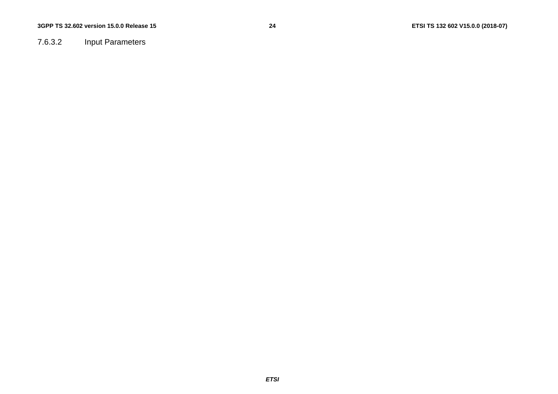<span id="page-24-0"></span>7.6.3.2 Input Parameters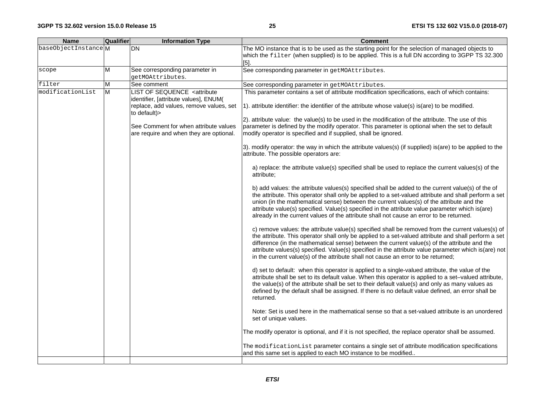| <b>Name</b>         | <b>Qualifier</b> | <b>Information Type</b>                                                                                                                                                                                    | <b>Comment</b>                                                                                                                                                                                                                                                                                                                                                                                                                                                                                         |
|---------------------|------------------|------------------------------------------------------------------------------------------------------------------------------------------------------------------------------------------------------------|--------------------------------------------------------------------------------------------------------------------------------------------------------------------------------------------------------------------------------------------------------------------------------------------------------------------------------------------------------------------------------------------------------------------------------------------------------------------------------------------------------|
| baseObjectInstanceM |                  | DN                                                                                                                                                                                                         | The MO instance that is to be used as the starting point for the selection of managed objects to<br>which the filter (when supplied) is to be applied. This is a full DN according to 3GPP TS 32.300<br>$[5]$ .                                                                                                                                                                                                                                                                                        |
| scope               | M                | See corresponding parameter in                                                                                                                                                                             | See corresponding parameter in getMOAttributes.                                                                                                                                                                                                                                                                                                                                                                                                                                                        |
|                     |                  | getMOAttributes.                                                                                                                                                                                           |                                                                                                                                                                                                                                                                                                                                                                                                                                                                                                        |
| filter              | M                | See comment                                                                                                                                                                                                | See corresponding parameter in getMOAttributes.                                                                                                                                                                                                                                                                                                                                                                                                                                                        |
| modificationList    | M                | <b>LIST OF SEQUENCE <attribute< b=""><br/>identifier, [attribute values], ENUM(<br/>replace, add values, remove values, set<br/>to default)&gt;<br/>See Comment for when attribute values</attribute<></b> | This parameter contains a set of attribute modification specifications, each of which contains:<br>$ 1\rangle$ . attribute identifier: the identifier of the attribute whose value(s) is(are) to be modified.<br>[2] attribute value: the value(s) to be used in the modification of the attribute. The use of this<br>parameter is defined by the modify operator. This parameter is optional when the set to default                                                                                 |
|                     |                  | are require and when they are optional.                                                                                                                                                                    | modify operator is specified and if supplied, shall be ignored.<br>3). modify operator: the way in which the attribute values(s) (if supplied) is(are) to be applied to the<br>attribute. The possible operators are:                                                                                                                                                                                                                                                                                  |
|                     |                  |                                                                                                                                                                                                            | a) replace: the attribute value(s) specified shall be used to replace the current values(s) of the<br>attribute;                                                                                                                                                                                                                                                                                                                                                                                       |
|                     |                  |                                                                                                                                                                                                            | b) add values: the attribute values(s) specified shall be added to the current value(s) of the of<br>the attribute. This operator shall only be applied to a set-valued attribute and shall perform a set<br>union (in the mathematical sense) between the current values(s) of the attribute and the<br>attribute value(s) specified. Value(s) specified in the attribute value parameter which is(are)<br>already in the current values of the attribute shall not cause an error to be returned.    |
|                     |                  |                                                                                                                                                                                                            | c) remove values: the attribute value(s) specified shall be removed from the current values(s) of<br>the attribute. This operator shall only be applied to a set-valued attribute and shall perform a set<br>difference (in the mathematical sense) between the current value(s) of the attribute and the<br>attribute values(s) specified. Value(s) specified in the attribute value parameter which is(are) not<br>in the current value(s) of the attribute shall not cause an error to be returned; |
|                     |                  |                                                                                                                                                                                                            | d) set to default: when this operator is applied to a single-valued attribute, the value of the<br>attribute shall be set to its default value. When this operator is applied to a set-valued attribute,<br>the value(s) of the attribute shall be set to their default value(s) and only as many values as<br>defined by the default shall be assigned. If there is no default value defined, an error shall be<br>returned.                                                                          |
|                     |                  |                                                                                                                                                                                                            | Note: Set is used here in the mathematical sense so that a set-valued attribute is an unordered<br>set of unique values.                                                                                                                                                                                                                                                                                                                                                                               |
|                     |                  |                                                                                                                                                                                                            | The modify operator is optional, and if it is not specified, the replace operator shall be assumed.                                                                                                                                                                                                                                                                                                                                                                                                    |
|                     |                  |                                                                                                                                                                                                            | The modificationList parameter contains a single set of attribute modification specifications<br>and this same set is applied to each MO instance to be modified                                                                                                                                                                                                                                                                                                                                       |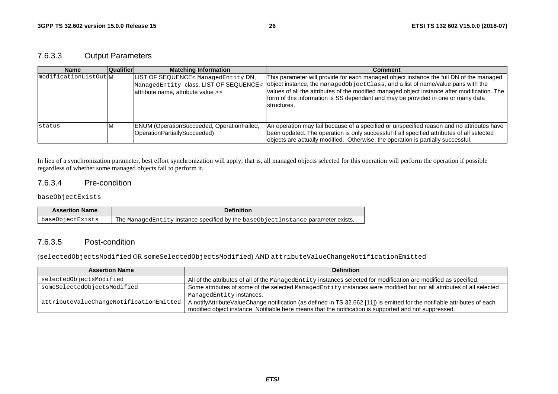### <span id="page-26-0"></span>7.6.3.3 Output Parameters

| <b>Name</b>           | <b>Qualifier</b> | <b>Matching Information</b>                                                                                          | Comment                                                                                                                                                                                                                                                                                                                                                                          |
|-----------------------|------------------|----------------------------------------------------------------------------------------------------------------------|----------------------------------------------------------------------------------------------------------------------------------------------------------------------------------------------------------------------------------------------------------------------------------------------------------------------------------------------------------------------------------|
| modificationListOut M |                  | LIST OF SEQUENCE< ManagedEntity DN,<br>ManagedEntity class, LIST OF SEQUENCE<<br>lattribute name, attribute value >> | This parameter will provide for each managed object instance the full DN of the managed<br>object instance, the managed Object Class, and a list of name/value pairs with the<br>values of all the attributes of the modified managed object instance after modification. The<br>form of this information is SS dependant and may be provided in one or many data<br>structures. |
| status                |                  | <b>ENUM (OperationSucceeded, OperationFailed,</b><br>OperationPartiallySucceeded)                                    | An operation may fail because of a specified or unspecified reason and no attributes have<br>been updated. The operation is only successful if all specified attributes of all selected<br>objects are actually modified. Otherwise, the operation is partially successful.                                                                                                      |

In lieu of a synchronization parameter, best effort synchronization will apply; that is, all managed objects selected for this operation will perform the operation if possible regardless of whether some managed objects fail to perform it.

#### 7.6.3.4 Pre-condition

#### baseObjectExists

| <b>Assertion Name</b> | <b>Definition</b>                                                                |
|-----------------------|----------------------------------------------------------------------------------|
| baseObjectExists      | The ManagedEntity instance specified by the baseObjectInstance parameter exists. |

#### 7.6.3.5 Post-condition

(selectedObjectsModified OR someSelectedObjectsModified) AND attributeValueChangeNotificationEmitted

| <b>Assertion Name</b>                   | <b>Definition</b>                                                                                                                                                                                                                   |
|-----------------------------------------|-------------------------------------------------------------------------------------------------------------------------------------------------------------------------------------------------------------------------------------|
| selectedObjectsModified                 | All of the attributes of all of the ManagedEntity instances selected for modification are modified as specified.                                                                                                                    |
| someSelectedObjectsModified             | Some attributes of some of the selected ManagedEntity instances were modified but not all attributes of all selected<br>ManagedEntity instances.                                                                                    |
| attributeValueChangeNotificationEmitted | A notifyAttributeValueChange notification (as defined in TS 32.662 [11]) is emitted for the notifiable attributes of each<br>modified object instance. Notifiable here means that the notification is supported and not suppressed. |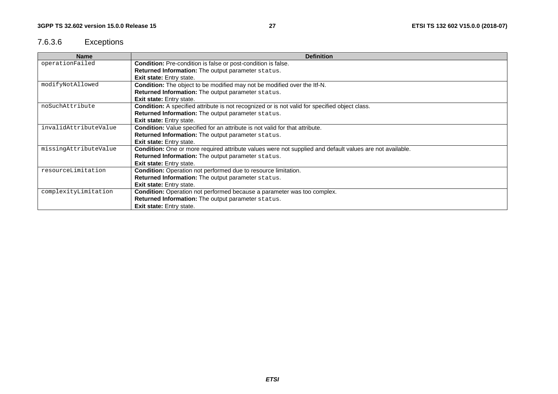# <span id="page-27-0"></span>7.6.3.6 Exceptions

| <b>Name</b>           | <b>Definition</b>                                                                                        |  |  |  |  |  |
|-----------------------|----------------------------------------------------------------------------------------------------------|--|--|--|--|--|
| operationFailed       | <b>Condition:</b> Pre-condition is false or post-condition is false.                                     |  |  |  |  |  |
|                       | Returned Information: The output parameter status.                                                       |  |  |  |  |  |
|                       | Exit state: Entry state.                                                                                 |  |  |  |  |  |
| modifyNotAllowed      | Condition: The object to be modified may not be modified over the ltf-N.                                 |  |  |  |  |  |
|                       | Returned Information: The output parameter status.                                                       |  |  |  |  |  |
|                       | <b>Exit state: Entry state.</b>                                                                          |  |  |  |  |  |
| noSuchAttribute       | Condition: A specified attribute is not recognized or is not valid for specified object class.           |  |  |  |  |  |
|                       | Returned Information: The output parameter status.                                                       |  |  |  |  |  |
|                       | <b>Exit state:</b> Entry state.                                                                          |  |  |  |  |  |
| invalidAttributeValue | Condition: Value specified for an attribute is not valid for that attribute.                             |  |  |  |  |  |
|                       | Returned Information: The output parameter status.                                                       |  |  |  |  |  |
|                       | Exit state: Entry state.                                                                                 |  |  |  |  |  |
| missingAttributeValue | Condition: One or more required attribute values were not supplied and default values are not available. |  |  |  |  |  |
|                       | Returned Information: The output parameter status.                                                       |  |  |  |  |  |
|                       | <b>Exit state:</b> Entry state.                                                                          |  |  |  |  |  |
| resourceLimitation    | <b>Condition:</b> Operation not performed due to resource limitation.                                    |  |  |  |  |  |
|                       | Returned Information: The output parameter status.                                                       |  |  |  |  |  |
|                       | Exit state: Entry state.                                                                                 |  |  |  |  |  |
| complexityLimitation  | <b>Condition:</b> Operation not performed because a parameter was too complex.                           |  |  |  |  |  |
|                       | Returned Information: The output parameter status.                                                       |  |  |  |  |  |
|                       | Exit state: Entry state.                                                                                 |  |  |  |  |  |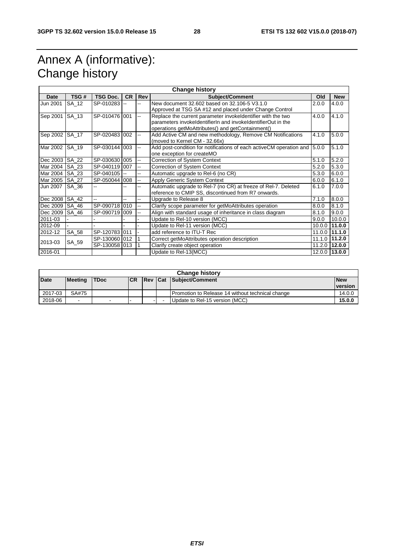# <span id="page-28-0"></span>Annex A (informative): Change history

| <b>Change history</b> |       |                 |                |     |                                                                             |        |                   |
|-----------------------|-------|-----------------|----------------|-----|-----------------------------------------------------------------------------|--------|-------------------|
| Date                  | TSG#  | <b>TSG Doc.</b> | <b>CR</b>      | Rev | <b>Subject/Comment</b>                                                      | Old    | <b>New</b>        |
| Jun 2001              | SA 12 | SP-010283       |                |     | New document 32,602 based on 32,106-5 V3,1,0                                | 2.0.0  | 4.0.0             |
|                       |       |                 |                |     | Approved at TSG SA #12 and placed under Change Control                      |        |                   |
| Sep 2001              | SA 13 | SP-010476 001   |                | ш,  | Replace the current parameter invokeldentifier with the two                 | 4.0.0  | 4.1.0             |
|                       |       |                 |                |     | parameters invokeldentifierln and invokeldentifierOut in the                |        |                   |
|                       |       |                 |                |     | operations getMoAttributes() and getContainment()                           |        |                   |
| Sep 2002              | SA 17 | SP-020483 002   |                | Щ,  | Add Active CM and new methodology, Remove CM Notifications                  | 4.1.0  | 5.0.0             |
|                       |       |                 |                |     | (moved to Kernel CM - 32.66x)                                               |        |                   |
| Mar 2002              | SA 19 | SP-030144 003   |                | ÷.  | Add post-condition for notifications of each active CM operation and 15.0.0 |        | 5.1.0             |
|                       |       |                 |                |     | one exception for createMO                                                  |        |                   |
| Dec 2003              | SA 22 | SP-030630 005   |                | Щ,  | <b>Correction of System Context</b>                                         | 5.1.0  | 5.2.0             |
| Mar 2004              | SA 23 | SP-040119 007   |                | Щ,  | <b>Correction of System Context</b>                                         | 5.2.0  | 5.3.0             |
| Mar 2004              | SA 23 | SP-040105       | $\overline{a}$ | Ц.  | Automatic upgrade to Rel-6 (no CR)                                          | 5.3.0  | 6.0.0             |
| Mar 2005              | SA 27 | SP-050044 008   |                | щ.  | Apply Generic System Context                                                | 6.0.0  | 6.1.0             |
| Jun 2007              | SA 36 |                 |                | --  | Automatic upgrade to Rel-7 (no CR) at freeze of Rel-7. Deleted              | 6.1.0  | 7.0.0             |
|                       |       |                 |                |     | reference to CMIP SS, discontinued from R7 onwards.                         |        |                   |
| Dec 2008              | SA 42 |                 |                | ż,  | Upgrade to Release 8                                                        | 7.1.0  | 8.0.0             |
| Dec 2009              | SA_46 | SP-090718 010   |                | --  | Clarify scope parameter for getMoAttributes operation                       | 8.0.0  | 8.1.0             |
| Dec 2009              | SA 46 | SP-090719 009   |                |     | Align with standard usage of inheritance in class diagram                   | 8.1.0  | 9.0.0             |
| 2011-03               |       |                 |                |     | Update to Rel-10 version (MCC)                                              | 9.0.0  | 10.0.0            |
| 2012-09               |       |                 |                |     | Update to Rel-11 version (MCC)                                              | 10.0.0 | 11.0.0            |
| 2012-12               | SA_58 | SP-120783 011   |                |     | add reference to ITU-T Rec                                                  | 11.0.0 | 11.1.0            |
| 2013-03               | SA 59 | SP-130060 012   |                |     | Correct getMoAttributes operation description                               | 11.1.0 | 11.2.0            |
|                       |       | SP-130058 013   |                |     | Clarify create object operation                                             | 11.2.0 | 12.0.0            |
| 2016-01               |       |                 |                |     | Update to Rel-13(MCC)                                                       |        | $12.0.0$   13.0.0 |

| <b>Change history</b> |                |             |            |  |  |                                                  |                       |
|-----------------------|----------------|-------------|------------|--|--|--------------------------------------------------|-----------------------|
| <b>Date</b>           | <b>Meeting</b> | <b>TDoc</b> | <b>ICR</b> |  |  | <b>Rev Cat Subject/Comment</b>                   | <b>New</b><br>version |
| 2017-03               | SA#75          |             |            |  |  | Promotion to Release 14 without technical change | 14.0.0                |
| 2018-06               | $\sim$         |             |            |  |  | Update to Rel-15 version (MCC)                   | 15.0.0                |